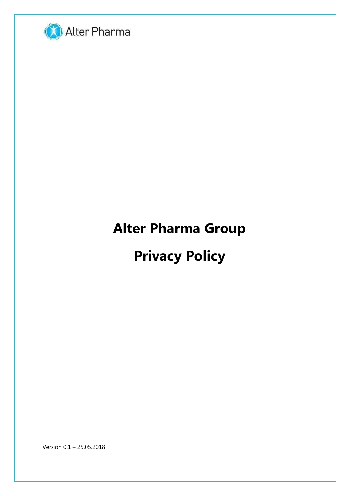

# **Alter Pharma Group**

# **Privacy Policy**

Version 0.1 – 25.05.2018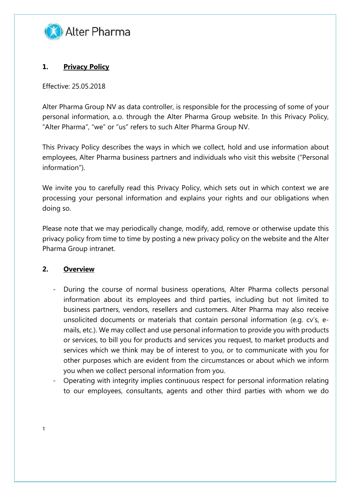

# **1. Privacy Policy**

Effective: 25.05.2018

Alter Pharma Group NV as data controller, is responsible for the processing of some of your personal information, a.o. through the Alter Pharma Group website. In this Privacy Policy, "Alter Pharma", "we" or "us" refers to such Alter Pharma Group NV.

This Privacy Policy describes the ways in which we collect, hold and use information about employees, Alter Pharma business partners and individuals who visit this website ("Personal information").

We invite you to carefully read this Privacy Policy, which sets out in which context we are processing your personal information and explains your rights and our obligations when doing so.

Please note that we may periodically change, modify, add, remove or otherwise update this privacy policy from time to time by posting a new privacy policy on the website and the Alter Pharma Group intranet.

# **2. Overview**

1

- During the course of normal business operations, Alter Pharma collects personal information about its employees and third parties, including but not limited to business partners, vendors, resellers and customers. Alter Pharma may also receive unsolicited documents or materials that contain personal information (e.g. cv's, emails, etc.). We may collect and use personal information to provide you with products or services, to bill you for products and services you request, to market products and services which we think may be of interest to you, or to communicate with you for other purposes which are evident from the circumstances or about which we inform you when we collect personal information from you.
- Operating with integrity implies continuous respect for personal information relating to our employees, consultants, agents and other third parties with whom we do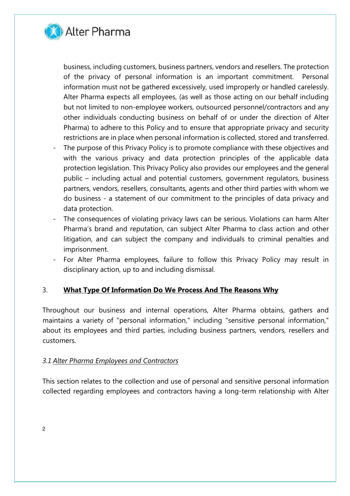

business, including customers, business partners, vendors and resellers. The protection of the privacy of personal information is an important commitment. Personal information must not be gathered excessively, used improperly or handled carelessly. Alter Pharma expects all employees, (as well as those acting on our behalf including but not limited to non-employee workers, outsourced personnel/contractors and any other individuals conducting business on behalf of or under the direction of Alter Pharma) to adhere to this Policy and to ensure that appropriate privacy and security restrictions are in place when personal information is collected, stored and transferred.

- The purpose of this Privacy Policy is to promote compliance with these objectives and with the various privacy and data protection principles of the applicable data protection legislation. This Privacy Policy also provides our employees and the general public – including actual and potential customers, government regulators, business partners, vendors, resellers, consultants, agents and other third parties with whom we do business - a statement of our commitment to the principles of data privacy and data protection.
- The consequences of violating privacy laws can be serious. Violations can harm Alter Pharma's brand and reputation, can subject Alter Pharma to class action and other litigation, and can subject the company and individuals to criminal penalties and imprisonment.
- For Alter Pharma employees, failure to follow this Privacy Policy may result in disciplinary action, up to and including dismissal.

# 3. **What Type Of Information Do We Process And The Reasons Why**

Throughout our business and internal operations, Alter Pharma obtains, gathers and maintains a variety of "personal information," including "sensitive personal information," about its employees and third parties, including business partners, vendors, resellers and customers.

# *3.1 Alter Pharma Employees and Contractors*

This section relates to the collection and use of personal and sensitive personal information collected regarding employees and contractors having a long-term relationship with Alter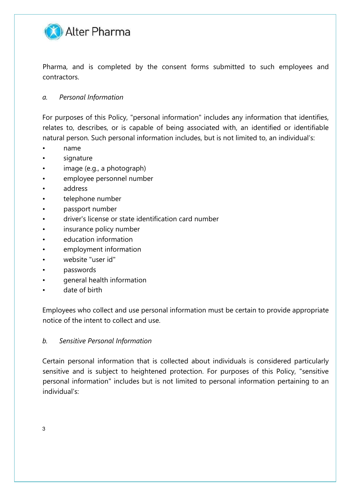

Pharma, and is completed by the consent forms submitted to such employees and contractors.

# *a. Personal Information*

For purposes of this Policy, "personal information" includes any information that identifies, relates to, describes, or is capable of being associated with, an identified or identifiable natural person. Such personal information includes, but is not limited to, an individual's:

- name
- signature
- image (e.g., a photograph)
- employee personnel number
- address
- telephone number
- passport number
- driver's license or state identification card number
- insurance policy number
- education information
- employment information
- website "user id"
- passwords
- general health information
- date of birth

Employees who collect and use personal information must be certain to provide appropriate notice of the intent to collect and use.

#### *b. Sensitive Personal Information*

Certain personal information that is collected about individuals is considered particularly sensitive and is subject to heightened protection. For purposes of this Policy, "sensitive personal information" includes but is not limited to personal information pertaining to an individual's: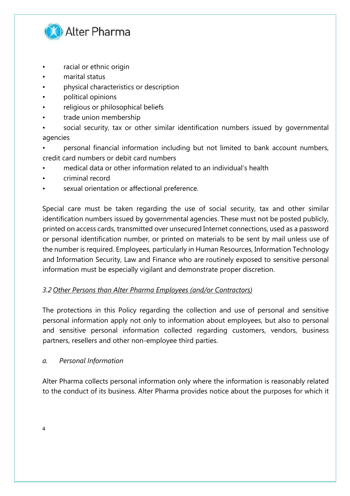

- racial or ethnic origin
- marital status
- physical characteristics or description
- political opinions
- religious or philosophical beliefs
- trade union membership
- social security, tax or other similar identification numbers issued by governmental agencies
- personal financial information including but not limited to bank account numbers, credit card numbers or debit card numbers
- medical data or other information related to an individual's health
- criminal record
- sexual orientation or affectional preference.

Special care must be taken regarding the use of social security, tax and other similar identification numbers issued by governmental agencies. These must not be posted publicly, printed on access cards, transmitted over unsecured Internet connections, used as a password or personal identification number, or printed on materials to be sent by mail unless use of the number is required. Employees, particularly in Human Resources, Information Technology and Information Security, Law and Finance who are routinely exposed to sensitive personal information must be especially vigilant and demonstrate proper discretion.

# *3.2 Other Persons than Alter Pharma Employees (and/or Contractors)*

The protections in this Policy regarding the collection and use of personal and sensitive personal information apply not only to information about employees, but also to personal and sensitive personal information collected regarding customers, vendors, business partners, resellers and other non-employee third parties.

#### *a. Personal Information*

Alter Pharma collects personal information only where the information is reasonably related to the conduct of its business. Alter Pharma provides notice about the purposes for which it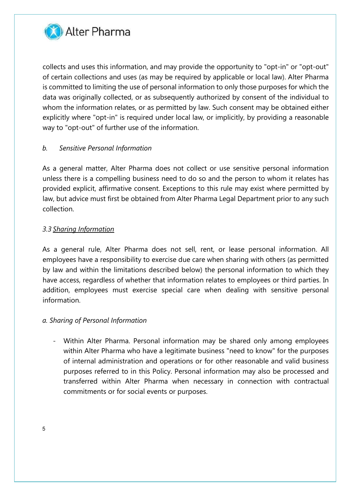

collects and uses this information, and may provide the opportunity to "opt-in" or "opt-out" of certain collections and uses (as may be required by applicable or local law). Alter Pharma is committed to limiting the use of personal information to only those purposes for which the data was originally collected, or as subsequently authorized by consent of the individual to whom the information relates, or as permitted by law. Such consent may be obtained either explicitly where "opt-in" is required under local law, or implicitly, by providing a reasonable way to "opt-out" of further use of the information.

# *b. Sensitive Personal Information*

As a general matter, Alter Pharma does not collect or use sensitive personal information unless there is a compelling business need to do so and the person to whom it relates has provided explicit, affirmative consent. Exceptions to this rule may exist where permitted by law, but advice must first be obtained from Alter Pharma Legal Department prior to any such collection.

# *3.3 Sharing Information*

As a general rule, Alter Pharma does not sell, rent, or lease personal information. All employees have a responsibility to exercise due care when sharing with others (as permitted by law and within the limitations described below) the personal information to which they have access, regardless of whether that information relates to employees or third parties. In addition, employees must exercise special care when dealing with sensitive personal information.

# *a. Sharing of Personal Information*

- Within Alter Pharma. Personal information may be shared only among employees within Alter Pharma who have a legitimate business "need to know" for the purposes of internal administration and operations or for other reasonable and valid business purposes referred to in this Policy. Personal information may also be processed and transferred within Alter Pharma when necessary in connection with contractual commitments or for social events or purposes.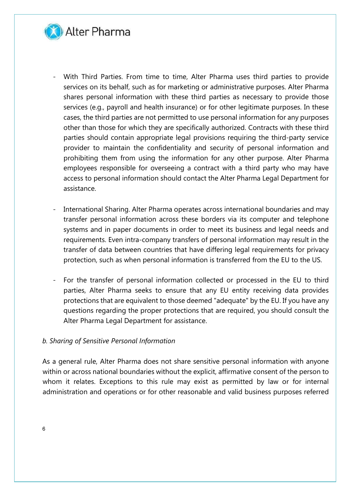

- With Third Parties. From time to time, Alter Pharma uses third parties to provide services on its behalf, such as for marketing or administrative purposes. Alter Pharma shares personal information with these third parties as necessary to provide those services (e.g., payroll and health insurance) or for other legitimate purposes. In these cases, the third parties are not permitted to use personal information for any purposes other than those for which they are specifically authorized. Contracts with these third parties should contain appropriate legal provisions requiring the third-party service provider to maintain the confidentiality and security of personal information and prohibiting them from using the information for any other purpose. Alter Pharma employees responsible for overseeing a contract with a third party who may have access to personal information should contact the Alter Pharma Legal Department for assistance.
- International Sharing. Alter Pharma operates across international boundaries and may transfer personal information across these borders via its computer and telephone systems and in paper documents in order to meet its business and legal needs and requirements. Even intra-company transfers of personal information may result in the transfer of data between countries that have differing legal requirements for privacy protection, such as when personal information is transferred from the EU to the US.
- For the transfer of personal information collected or processed in the EU to third parties, Alter Pharma seeks to ensure that any EU entity receiving data provides protections that are equivalent to those deemed "adequate" by the EU. If you have any questions regarding the proper protections that are required, you should consult the Alter Pharma Legal Department for assistance.

#### *b. Sharing of Sensitive Personal Information*

As a general rule, Alter Pharma does not share sensitive personal information with anyone within or across national boundaries without the explicit, affirmative consent of the person to whom it relates. Exceptions to this rule may exist as permitted by law or for internal administration and operations or for other reasonable and valid business purposes referred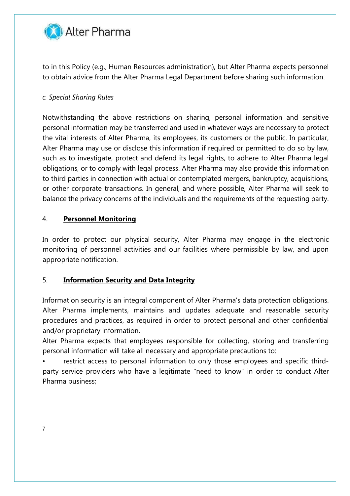

to in this Policy (e.g., Human Resources administration), but Alter Pharma expects personnel to obtain advice from the Alter Pharma Legal Department before sharing such information.

# *c. Special Sharing Rules*

Notwithstanding the above restrictions on sharing, personal information and sensitive personal information may be transferred and used in whatever ways are necessary to protect the vital interests of Alter Pharma, its employees, its customers or the public. In particular, Alter Pharma may use or disclose this information if required or permitted to do so by law, such as to investigate, protect and defend its legal rights, to adhere to Alter Pharma legal obligations, or to comply with legal process. Alter Pharma may also provide this information to third parties in connection with actual or contemplated mergers, bankruptcy, acquisitions, or other corporate transactions. In general, and where possible, Alter Pharma will seek to balance the privacy concerns of the individuals and the requirements of the requesting party.

# 4. **Personnel Monitoring**

In order to protect our physical security, Alter Pharma may engage in the electronic monitoring of personnel activities and our facilities where permissible by law, and upon appropriate notification.

# 5. **Information Security and Data Integrity**

Information security is an integral component of Alter Pharma's data protection obligations. Alter Pharma implements, maintains and updates adequate and reasonable security procedures and practices, as required in order to protect personal and other confidential and/or proprietary information.

Alter Pharma expects that employees responsible for collecting, storing and transferring personal information will take all necessary and appropriate precautions to:

restrict access to personal information to only those employees and specific thirdparty service providers who have a legitimate "need to know" in order to conduct Alter Pharma business;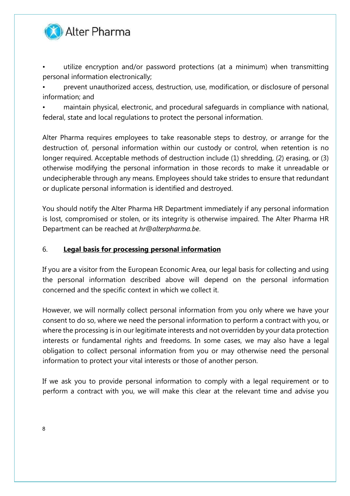

• utilize encryption and/or password protections (at a minimum) when transmitting personal information electronically;

• prevent unauthorized access, destruction, use, modification, or disclosure of personal information; and

• maintain physical, electronic, and procedural safeguards in compliance with national, federal, state and local regulations to protect the personal information.

Alter Pharma requires employees to take reasonable steps to destroy, or arrange for the destruction of, personal information within our custody or control, when retention is no longer required. Acceptable methods of destruction include (1) shredding, (2) erasing, or (3) otherwise modifying the personal information in those records to make it unreadable or undecipherable through any means. Employees should take strides to ensure that redundant or duplicate personal information is identified and destroyed.

You should notify the Alter Pharma HR Department immediately if any personal information is lost, compromised or stolen, or its integrity is otherwise impaired. The Alter Pharma HR Department can be reached at *hr@alterpharma.be*.

# 6. **Legal basis for processing personal information**

If you are a visitor from the European Economic Area, our legal basis for collecting and using the personal information described above will depend on the personal information concerned and the specific context in which we collect it.

However, we will normally collect personal information from you only where we have your consent to do so, where we need the personal information to perform a contract with you, or where the processing is in our legitimate interests and not overridden by your data protection interests or fundamental rights and freedoms. In some cases, we may also have a legal obligation to collect personal information from you or may otherwise need the personal information to protect your vital interests or those of another person.

If we ask you to provide personal information to comply with a legal requirement or to perform a contract with you, we will make this clear at the relevant time and advise you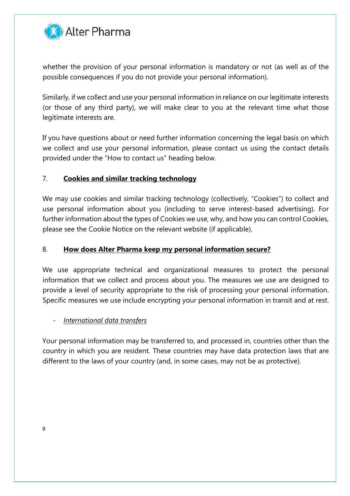

whether the provision of your personal information is mandatory or not (as well as of the possible consequences if you do not provide your personal information).

Similarly, if we collect and use your personal information in reliance on our legitimate interests (or those of any third party), we will make clear to you at the relevant time what those legitimate interests are.

If you have questions about or need further information concerning the legal basis on which we collect and use your personal information, please contact us using the contact details provided under the "How to contact us" heading below.

# 7. **Cookies and similar tracking technology**

We may use cookies and similar tracking technology (collectively, "Cookies") to collect and use personal information about you (including to serve interest-based advertising). For further information about the types of Cookies we use, why, and how you can control Cookies, please see the Cookie Notice on the relevant website (if applicable).

# 8. **How does Alter Pharma keep my personal information secure?**

We use appropriate technical and organizational measures to protect the personal information that we collect and process about you. The measures we use are designed to provide a level of security appropriate to the risk of processing your personal information. Specific measures we use include encrypting your personal information in transit and at rest.

# - *International data transfers*

Your personal information may be transferred to, and processed in, countries other than the country in which you are resident. These countries may have data protection laws that are different to the laws of your country (and, in some cases, may not be as protective).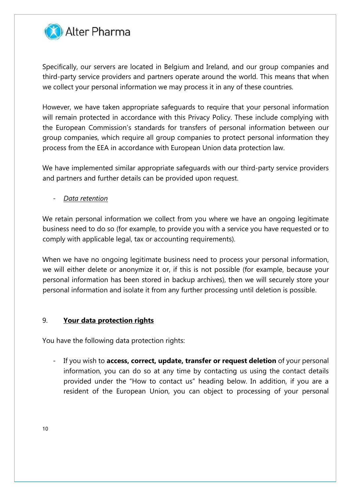

Specifically, our servers are located in Belgium and Ireland, and our group companies and third-party service providers and partners operate around the world. This means that when we collect your personal information we may process it in any of these countries.

However, we have taken appropriate safeguards to require that your personal information will remain protected in accordance with this Privacy Policy. These include complying with the European Commission's standards for transfers of personal information between our group companies, which require all group companies to protect personal information they process from the EEA in accordance with European Union data protection law.

We have implemented similar appropriate safeguards with our third-party service providers and partners and further details can be provided upon request.

- *Data retention* 

We retain personal information we collect from you where we have an ongoing legitimate business need to do so (for example, to provide you with a service you have requested or to comply with applicable legal, tax or accounting requirements).

When we have no ongoing legitimate business need to process your personal information, we will either delete or anonymize it or, if this is not possible (for example, because your personal information has been stored in backup archives), then we will securely store your personal information and isolate it from any further processing until deletion is possible.

# 9. **Your data protection rights**

You have the following data protection rights:

If you wish to **access, correct, update, transfer or request deletion** of your personal information, you can do so at any time by contacting us using the contact details provided under the "How to contact us" heading below. In addition, if you are a resident of the European Union, you can object to processing of your personal